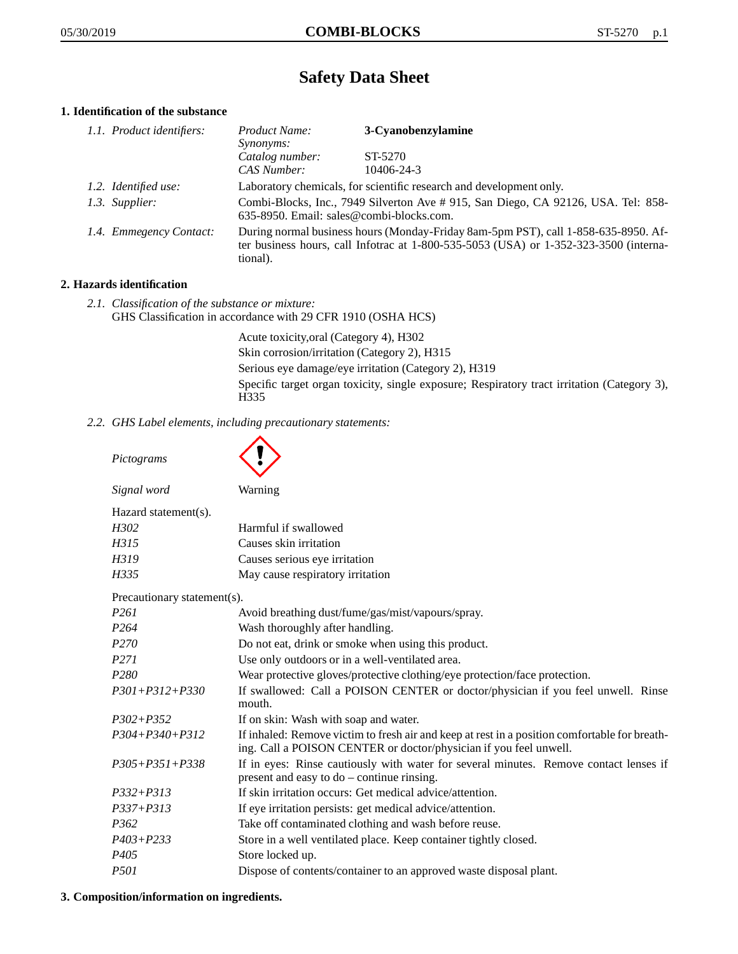# **Safety Data Sheet**

# **1. Identification of the substance**

| 1.1. Product identifiers: | Product Name:                                                                                                                | 3-Cyanobenzylamine                                                                                                                                                          |
|---------------------------|------------------------------------------------------------------------------------------------------------------------------|-----------------------------------------------------------------------------------------------------------------------------------------------------------------------------|
|                           | <i>Synonyms:</i>                                                                                                             |                                                                                                                                                                             |
|                           | Catalog number:                                                                                                              | ST-5270                                                                                                                                                                     |
|                           | CAS Number:                                                                                                                  | 10406-24-3                                                                                                                                                                  |
| 1.2. Identified use:      | Laboratory chemicals, for scientific research and development only.                                                          |                                                                                                                                                                             |
| 1.3. Supplier:            | Combi-Blocks, Inc., 7949 Silverton Ave #915, San Diego, CA 92126, USA. Tel: 858-<br>635-8950. Email: sales@combi-blocks.com. |                                                                                                                                                                             |
| 1.4. Emmegency Contact:   | tional).                                                                                                                     | During normal business hours (Monday-Friday 8am-5pm PST), call 1-858-635-8950. Af-<br>ter business hours, call Infotrac at 1-800-535-5053 (USA) or 1-352-323-3500 (interna- |

# **2. Hazards identification**

*2.1. Classification of the substance or mixture:* GHS Classification in accordance with 29 CFR 1910 (OSHA HCS)

> Acute toxicity,oral (Category 4), H302 Skin corrosion/irritation (Category 2), H315 Serious eye damage/eye irritation (Category 2), H319 Specific target organ toxicity, single exposure; Respiratory tract irritation (Category 3), H335

*2.2. GHS Label elements, including precautionary statements:*

| Pictograms                  |                                                                                                                                                                    |
|-----------------------------|--------------------------------------------------------------------------------------------------------------------------------------------------------------------|
| Signal word                 | Warning                                                                                                                                                            |
| Hazard statement(s).        |                                                                                                                                                                    |
| H <sub>302</sub>            | Harmful if swallowed                                                                                                                                               |
| H315                        | Causes skin irritation                                                                                                                                             |
| H319                        | Causes serious eye irritation                                                                                                                                      |
| H335                        | May cause respiratory irritation                                                                                                                                   |
| Precautionary statement(s). |                                                                                                                                                                    |
| P <sub>261</sub>            | Avoid breathing dust/fume/gas/mist/vapours/spray.                                                                                                                  |
| P <sub>264</sub>            | Wash thoroughly after handling.                                                                                                                                    |
| P <sub>270</sub>            | Do not eat, drink or smoke when using this product.                                                                                                                |
| P <sub>271</sub>            | Use only outdoors or in a well-ventilated area.                                                                                                                    |
| P <sub>280</sub>            | Wear protective gloves/protective clothing/eye protection/face protection.                                                                                         |
| $P301 + P312 + P330$        | If swallowed: Call a POISON CENTER or doctor/physician if you feel unwell. Rinse<br>mouth.                                                                         |
| $P302 + P352$               | If on skin: Wash with soap and water.                                                                                                                              |
| $P304 + P340 + P312$        | If inhaled: Remove victim to fresh air and keep at rest in a position comfortable for breath-<br>ing. Call a POISON CENTER or doctor/physician if you feel unwell. |
| $P305 + P351 + P338$        | If in eyes: Rinse cautiously with water for several minutes. Remove contact lenses if<br>present and easy to do – continue rinsing.                                |
| $P332 + P313$               | If skin irritation occurs: Get medical advice/attention.                                                                                                           |
| $P337 + P313$               | If eye irritation persists: get medical advice/attention.                                                                                                          |
| P <sub>362</sub>            | Take off contaminated clothing and wash before reuse.                                                                                                              |
| $P403 + P233$               | Store in a well ventilated place. Keep container tightly closed.                                                                                                   |
| P <sub>405</sub>            | Store locked up.                                                                                                                                                   |
| <i>P501</i>                 | Dispose of contents/container to an approved waste disposal plant.                                                                                                 |

### **3. Composition/information on ingredients.**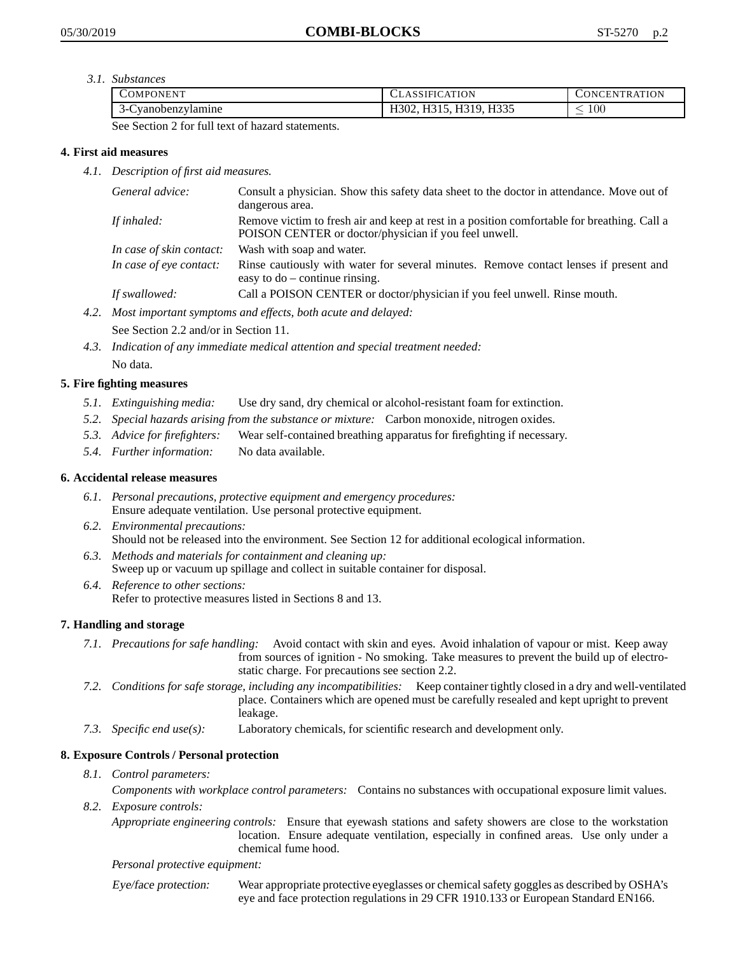*3.1. Substances*

| <b>COMPONENT</b>       | <b>CLASSIFICATION</b>   | TRATION<br>CONCEN <sup>7</sup> |
|------------------------|-------------------------|--------------------------------|
| Cyanobenzylamine<br>`- | H335<br>II210<br>11010. | 100<br>_                       |

See Section 2 for full text of hazard statements.

### **4. First aid measures**

*4.1. Description of first aid measures.*

| General advice:          | Consult a physician. Show this safety data sheet to the doctor in attendance. Move out of<br>dangerous area.                                         |
|--------------------------|------------------------------------------------------------------------------------------------------------------------------------------------------|
| If inhaled:              | Remove victim to fresh air and keep at rest in a position comfortable for breathing. Call a<br>POISON CENTER or doctor/physician if you feel unwell. |
| In case of skin contact: | Wash with soap and water.                                                                                                                            |
| In case of eye contact:  | Rinse cautiously with water for several minutes. Remove contact lenses if present and<br>easy to $do$ – continue rinsing.                            |
| If swallowed:            | Call a POISON CENTER or doctor/physician if you feel unwell. Rinse mouth.                                                                            |

*4.2. Most important symptoms and effects, both acute and delayed:*

See Section 2.2 and/or in Section 11.

*4.3. Indication of any immediate medical attention and special treatment needed:* No data.

# **5. Fire fighting measures**

- *5.1. Extinguishing media:* Use dry sand, dry chemical or alcohol-resistant foam for extinction.
- *5.2. Special hazards arising from the substance or mixture:* Carbon monoxide, nitrogen oxides.
- *5.3. Advice for firefighters:* Wear self-contained breathing apparatus for firefighting if necessary.
- *5.4. Further information:* No data available.

### **6. Accidental release measures**

- *6.1. Personal precautions, protective equipment and emergency procedures:* Ensure adequate ventilation. Use personal protective equipment.
- *6.2. Environmental precautions:* Should not be released into the environment. See Section 12 for additional ecological information.
- *6.3. Methods and materials for containment and cleaning up:* Sweep up or vacuum up spillage and collect in suitable container for disposal.
- *6.4. Reference to other sections:* Refer to protective measures listed in Sections 8 and 13.

# **7. Handling and storage**

- *7.1. Precautions for safe handling:* Avoid contact with skin and eyes. Avoid inhalation of vapour or mist. Keep away from sources of ignition - No smoking. Take measures to prevent the build up of electrostatic charge. For precautions see section 2.2.
- *7.2. Conditions for safe storage, including any incompatibilities:* Keep container tightly closed in a dry and well-ventilated place. Containers which are opened must be carefully resealed and kept upright to prevent leakage.
- *7.3. Specific end use(s):* Laboratory chemicals, for scientific research and development only.

# **8. Exposure Controls / Personal protection**

- *8.1. Control parameters: Components with workplace control parameters:* Contains no substances with occupational exposure limit values.
- *8.2. Exposure controls:*

*Appropriate engineering controls:* Ensure that eyewash stations and safety showers are close to the workstation location. Ensure adequate ventilation, especially in confined areas. Use only under a chemical fume hood.

### *Personal protective equipment:*

Eye/face protection: Wear appropriate protective eyeglasses or chemical safety goggles as described by OSHA's eye and face protection regulations in 29 CFR 1910.133 or European Standard EN166.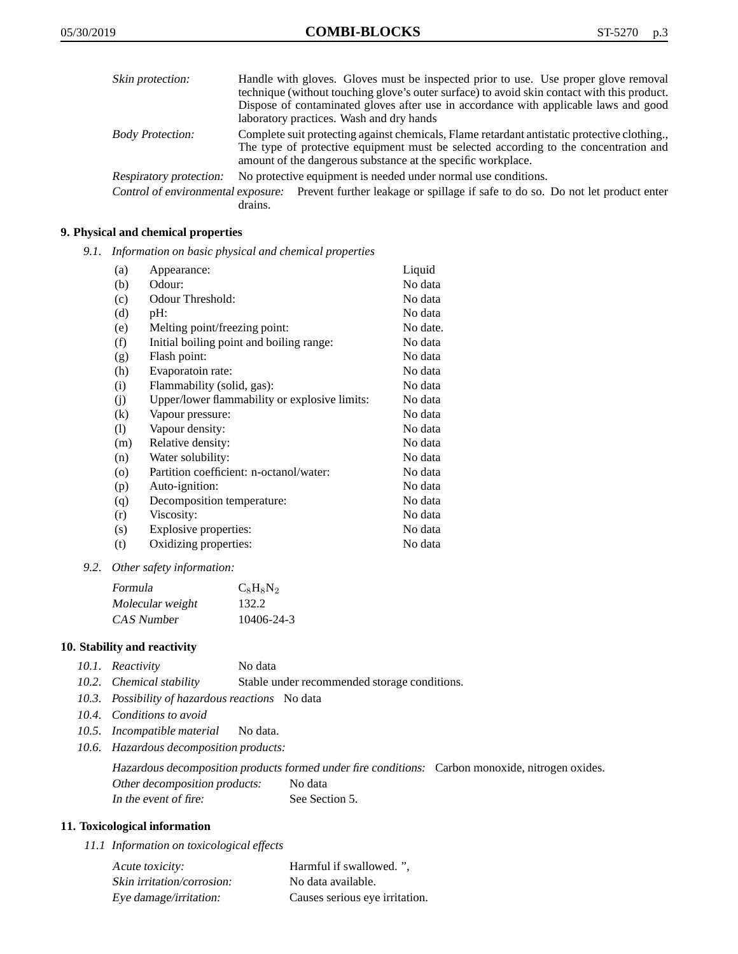| Skin protection:        | Handle with gloves. Gloves must be inspected prior to use. Use proper glove removal                                                                                                                                                                 |
|-------------------------|-----------------------------------------------------------------------------------------------------------------------------------------------------------------------------------------------------------------------------------------------------|
|                         | technique (without touching glove's outer surface) to avoid skin contact with this product.                                                                                                                                                         |
|                         | Dispose of contaminated gloves after use in accordance with applicable laws and good                                                                                                                                                                |
|                         | laboratory practices. Wash and dry hands                                                                                                                                                                                                            |
| <b>Body Protection:</b> | Complete suit protecting against chemicals, Flame retardant antistatic protective clothing.<br>The type of protective equipment must be selected according to the concentration and<br>amount of the dangerous substance at the specific workplace. |
| Respiratory protection: | No protective equipment is needed under normal use conditions.                                                                                                                                                                                      |
|                         | Control of environmental exposure: Prevent further leakage or spillage if safe to do so. Do not let product enter                                                                                                                                   |

# drains.

### **9. Physical and chemical properties**

*9.1. Information on basic physical and chemical properties*

| (a)                        | Appearance:                                   | Liquid   |
|----------------------------|-----------------------------------------------|----------|
| (b)                        | Odour:                                        | No data  |
| (c)                        | Odour Threshold:                              | No data  |
| (d)                        | pH:                                           | No data  |
| (e)                        | Melting point/freezing point:                 | No date. |
| (f)                        | Initial boiling point and boiling range:      | No data  |
| (g)                        | Flash point:                                  | No data  |
| (h)                        | Evaporatoin rate:                             | No data  |
| (i)                        | Flammability (solid, gas):                    | No data  |
| (j)                        | Upper/lower flammability or explosive limits: | No data  |
| $\left( k\right)$          | Vapour pressure:                              | No data  |
| $\left( \mathrm{l}\right)$ | Vapour density:                               | No data  |
| (m)                        | Relative density:                             | No data  |
| (n)                        | Water solubility:                             | No data  |
| $\circ$                    | Partition coefficient: n-octanol/water:       | No data  |
| (p)                        | Auto-ignition:                                | No data  |
| (q)                        | Decomposition temperature:                    | No data  |
| (r)                        | Viscosity:                                    | No data  |
| (s)                        | Explosive properties:                         | No data  |
| (t)                        | Oxidizing properties:                         | No data  |

*9.2. Other safety information:*

| Formula          | $C_8H_8N_2$ |
|------------------|-------------|
| Molecular weight | 132.2       |
| CAS Number       | 10406-24-3  |

### **10. Stability and reactivity**

| 10.1. Reactivity | No data |
|------------------|---------|
|                  |         |

- *10.2. Chemical stability* Stable under recommended storage conditions.
- *10.3. Possibility of hazardous reactions* No data
- *10.4. Conditions to avoid*
- *10.5. Incompatible material* No data.
- *10.6. Hazardous decomposition products:*

Hazardous decomposition products formed under fire conditions: Carbon monoxide, nitrogen oxides. Other decomposition products: No data In the event of fire: See Section 5.

### **11. Toxicological information**

*11.1 Information on toxicological effects*

| Acute toxicity:            | Harmful if swallowed. ".       |
|----------------------------|--------------------------------|
| Skin irritation/corrosion: | No data available.             |
| Eye damage/irritation:     | Causes serious eye irritation. |